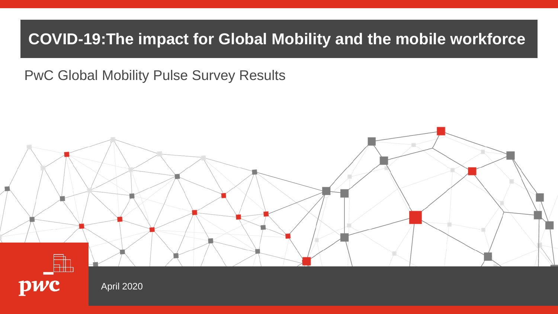### COVID-19 **COVID-19:The impact for Global Mobility and the mobile workforce**

PwC Global Mobility Pulse Survey Results

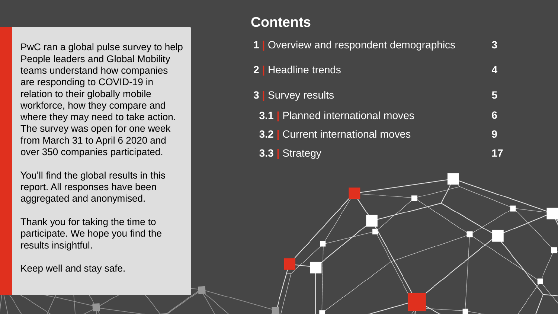PwC ran a global pulse survey to help People leaders and Global Mobility teams understand how companies are responding to COVID-19 in relation to their globally mobile workforce, how they compare and where they may need to take action. The survey was open for one week from March 31 to April 6 2020 and over 350 companies participated.

You'll find the global results in this report. All responses have been aggregated and anonymised.

Thank you for taking the time to participate. We hope you find the results insightful.

Keep well and stay safe.

#### **Contents**

| 1   Overview and respondent demographics |   |
|------------------------------------------|---|
| <b>2</b>   Headline trends               | Z |
| <b>3   Survey results</b>                | 5 |
| <b>3.1</b> Planned international moves   | 6 |
| <b>3.2</b> Current international moves   | 9 |
| Strategy<br>3.3                          |   |

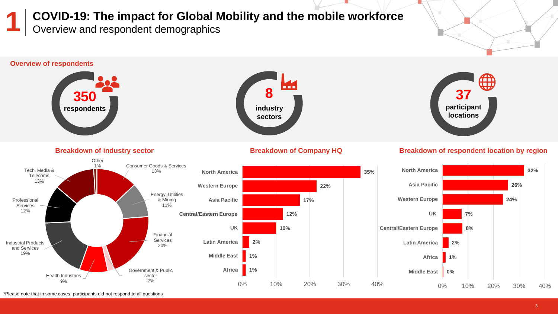Overview and respondent demographics **COVID-19: The impact for Global Mobility and the mobile workforce 1**



\*Please note that in some cases, participants did not respond to all questions  $\blacksquare$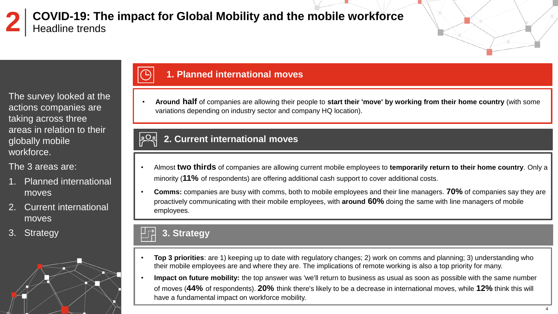Headline trends **COVID-19: The impact for Global Mobility and the mobile workforce 2**

The survey looked at the actions companies are taking across three areas in relation to their globally mobile workforce.

The 3 areas are:

- 1. Planned international moves
- 2. Current international moves
- 3. Strategy



#### **1. Planned international moves**

• **Around half** of companies are allowing their people to **start their 'move' by working from their home country** (with some variations depending on industry sector and company HQ location).

#### $|2Q_2|$ **2. Current international moves**

- Almost **two thirds** of companies are allowing current mobile employees to **temporarily return to their home country**. Only a minority (**11%** of respondents) are offering additional cash support to cover additional costs.
- **Comms:** companies are busy with comms, both to mobile employees and their line managers. **70%** of companies say they are proactively communicating with their mobile employees, with **around 60%** doing the same with line managers of mobile employees.

#### **3. Strategy**

- **Top 3 priorities**: are 1) keeping up to date with regulatory changes; 2) work on comms and planning; 3) understanding who their mobile employees are and where they are. The implications of remote working is also a top priority for many.
- **Impact on future mobility:** the top answer was 'we'll return to business as usual as soon as possible with the same number of moves (**44%** of respondents). **20%** think there's likely to be a decrease in international moves, while **12%** think this will have a fundamental impact on workforce mobility.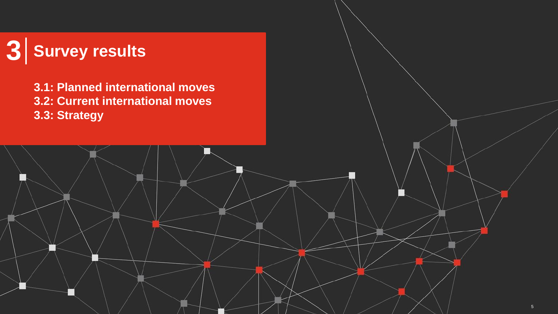#### **Survey results 3**

**3.1: Planned international moves 3.2: Current international moves 3.3: Strategy**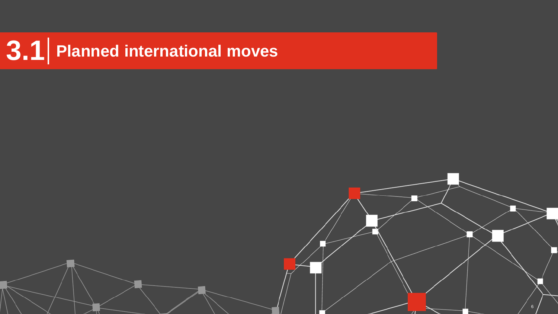# **3.1 Planned international moves**

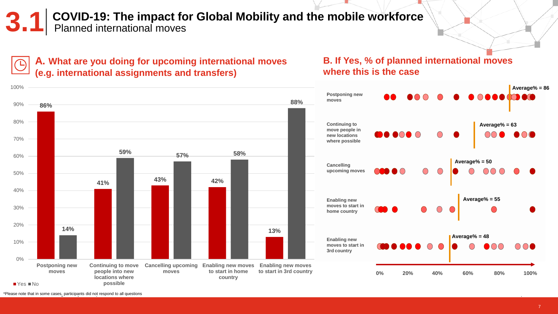**3.1** COVID-19: The impact for Global Mobility and the mobile workforce<br>3.1 Planned international moves



**A. What are you doing for upcoming international moves** 

#### **B. If Yes, % of planned international moves where this is the case**



\*Please note that in some cases, participants did not respond to all questions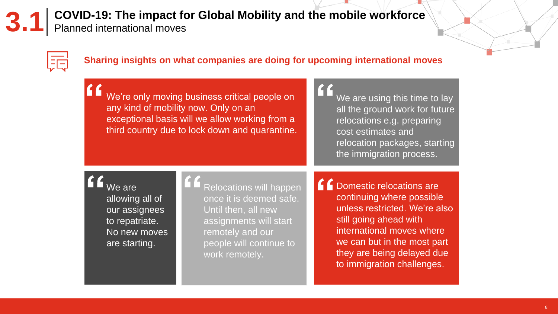**3.1** COVID-19: The impact for Global Mobility and the mobile workforce<br> **3.1** Planned international moves

### ļŦ

#### **Sharing insights on what companies are doing for upcoming international moves**

| We're only moving business critical people on  |
|------------------------------------------------|
| any kind of mobility now. Only on an           |
| exceptional basis will we allow working from a |
| third country due to lock down and quarantine. |
|                                                |

#### We are using this time to lay all the ground work for future relocations e.g. preparing cost estimates and relocation packages, starting the immigration process.

We are allowing all of our assignees to repatriate. No new moves are starting.

Relocations will happen once it is deemed safe. Until then, all new assignments will start remotely and our people will continue to work remotely.

6 Domestic relocations are continuing where possible unless restricted. We're also still going ahead with international moves where we can but in the most part they are being delayed due to immigration challenges.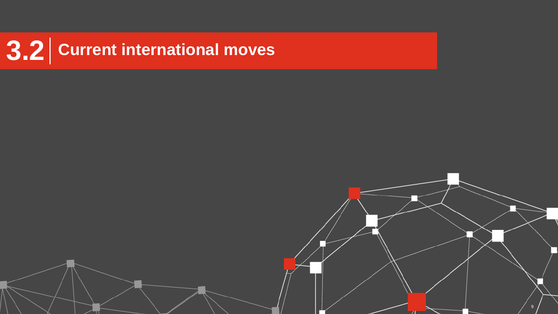### **3.2 Current international moves**

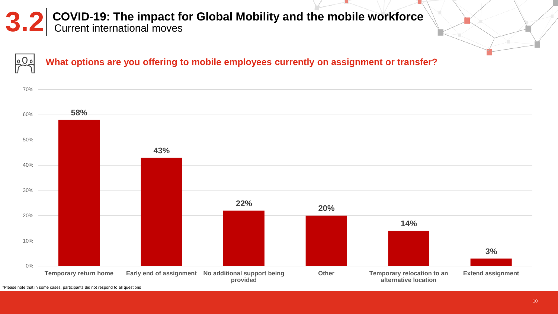### **3.2** COVID-19: The impact for Global Mobility and the mobile workforce<br>Current international moves

**What options are you offering to mobile employees currently on assignment or transfer?**



\*Please note that in some cases, participants did not respond to all questions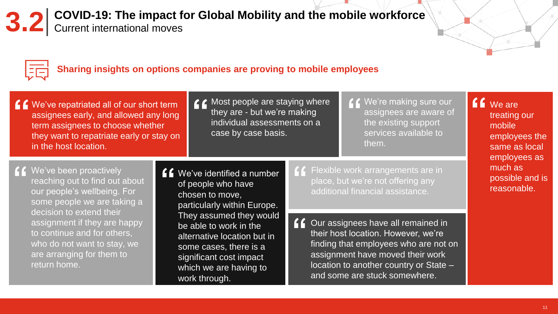## **3.2** COVID-19: The impact for Global Mobility and the mobile workforce<br> **3.2** Current international moves





#### **Sharing insights on options companies are proving to mobile employees**

| <u>f</u> <b>f</b> We've repatriated all of our short term |
|-----------------------------------------------------------|
| assignees early, and allowed any long                     |
| term assignees to choose whether                          |
| they want to repatriate early or stay on                  |
| in the host location.                                     |

Most people are staying where they are - but we're making individual assessments on a case by case basis.

We're making sure our  $\epsilon$ assignees are aware of the existing support services available to them.

**C** We've been proactively reaching out to find out about our people's wellbeing. For some people we are taking a decision to extend their assignment if they are happy to continue and for others, who do not want to stay, we are arranging for them to return home.

**f f** We've identified a number of people who have chosen to move, particularly within Europe. They assumed they would be able to work in the alternative location but in some cases, there is a significant cost impact which we are having to work through.

**f f** Flexible work arrangements are in place, but we're not offering any additional financial assistance.

**f** Our assignees have all remained in their host location. However, we're finding that employees who are not on assignment have moved their work location to another country or State – and some are stuck somewhere.

**CO** We are treating our mobile employees the same as local employees as much as possible and is reasonable.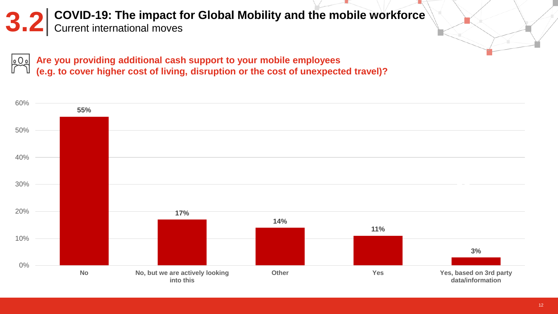### **COVID-19: The impact for Global Mobility and the mobile workforce** Current international moves

**Are you providing additional cash support to your mobile employees**  $QQg$ **(e.g. to cover higher cost of living, disruption or the cost of unexpected travel)?**

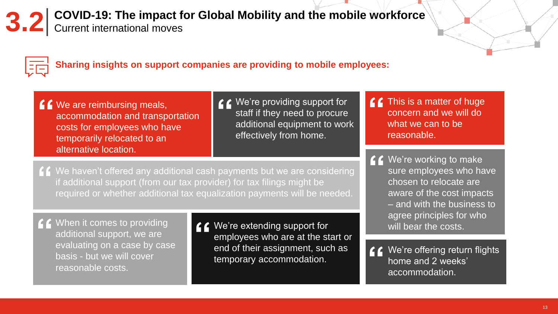## **3.2** COVID-19: The impact for Global Mobility and the mobile workforce<br> **3.2** Current international moves





**Sharing insights on support companies are providing to mobile employees:**

- **f** We are reimbursing meals, accommodation and transportation costs for employees who have temporarily relocated to an alternative location.
- **€ €** We're providing support for staff if they need to procure additional equipment to work effectively from home.
- $f$  This is a matter of huge concern and we will do what we can to be reasonable.
- **CC** We're working to make sure employees who have chosen to relocate are aware of the cost impacts – and with the business to agree principles for who will bear the costs.
- We're offering return flights home and 2 weeks' accommodation.

We haven't offered any additional cash payments but we are considering if additional support (from our tax provider) for tax filings might be required or whether additional tax equalization payments will be needed.

**f** f When it comes to providing additional support, we are evaluating on a case by case basis - but we will cover reasonable costs.

We're extending support for employees who are at the start or end of their assignment, such as temporary accommodation.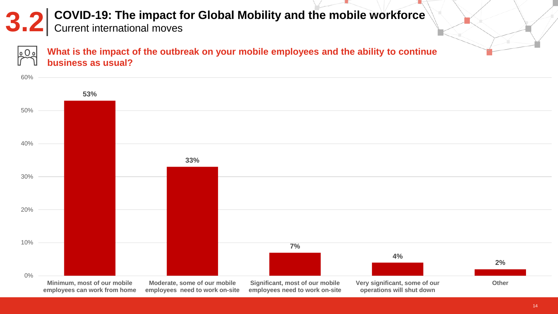### **3.2** COVID-19: The impact for Global Mobility and the mobile workforce

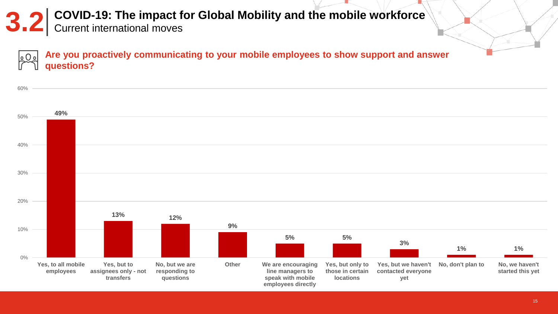### **COVID-19: The impact for Global Mobility and the mobile workforce<br>
<b>3.2** Current international moves

**Are you proactively communicating to your mobile employees to show support and answer**  o () o **questions?**

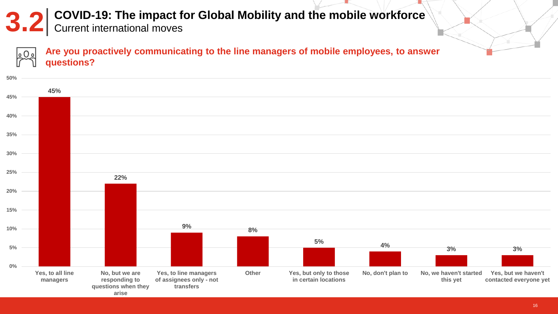### **COVID-19: The impact for Global Mobility and the mobile workforce<br>
<b>3.2** Current international moves



**Are you proactively communicating to the line managers of mobile employees, to answer questions?**

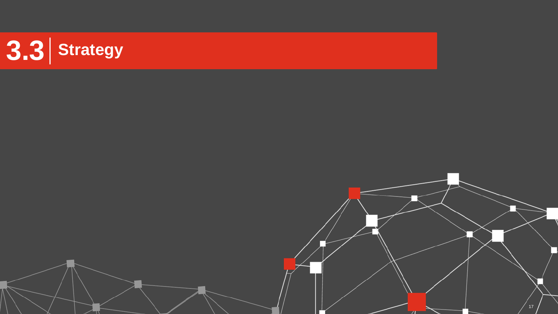

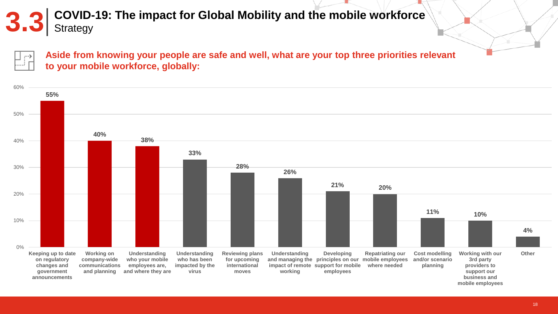## **COVID-19: The impact for Global Mobility and the mobile workforce S.3** Strategy

. . . . . 3

**Aside from knowing your people are safe and well, what are your top three priorities relevant to your mobile workforce, globally:**

![](_page_17_Figure_3.jpeg)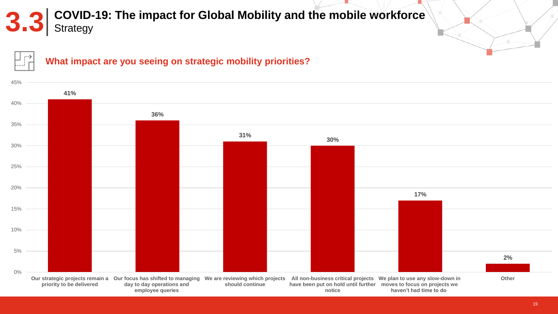## **COVID-19: The impact for Global Mobility and the mobile workforce S.3** Strategy

![](_page_18_Picture_1.jpeg)

![](_page_18_Figure_2.jpeg)

#### **What impact are you seeing on strategic mobility priorities?**

![](_page_18_Figure_4.jpeg)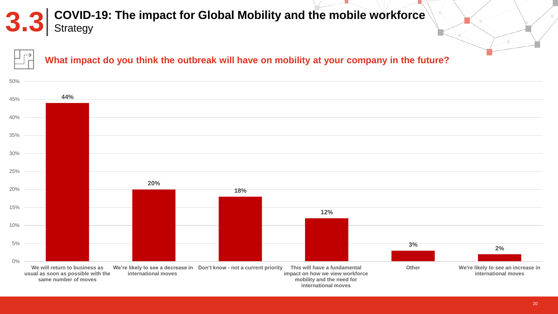## **COVID-19: The impact for Global Mobility and the mobile workforce S.3** Strategy

![](_page_19_Figure_1.jpeg)

#### **What impact do you think the outbreak will have on mobility at your company in the future?**

![](_page_19_Figure_3.jpeg)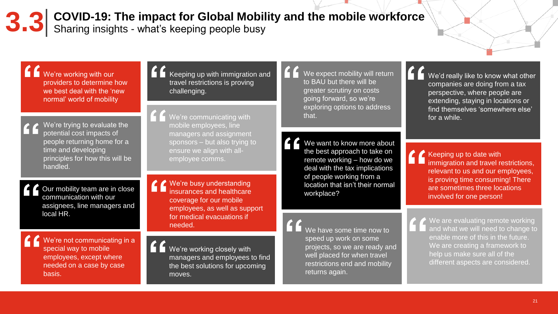**3.3** COVID-19: The impact for Global Mobility and the mobile workforce S.3 Sharing insights - what's keeping people busy

We're working with our providers to determine how we best deal with the 'new normal' world of mobility

> We're trying to evaluate the potential cost impacts of people returning home for a time and developing principles for how this will be handled.

Our mobility team are in close communication with our assignees, line managers and local HR.

> We're not communicating in a special way to mobile employees, except where needed on a case by case basis.

Keeping up with immigration and travel restrictions is proving challenging.

We're communicating with mobile employees, line managers and assignment sponsors – but also trying to ensure we align with allemployee comms.

We're busy understanding insurances and healthcare coverage for our mobile employees, as well as support for medical evacuations if needed. **Network is a set of the some time now to**  $\bullet$  we have some time now to

We're working closely with managers and employees to find the best solutions for upcoming moves.

We expect mobility will return to BAU but there will be greater scrutiny on costs going forward, so we're exploring options to address that.

We want to know more about the best approach to take on remote working – how do we deal with the tax implications of people working from a location that isn't their normal workplace?

speed up work on some

returns again.

projects, so we are ready and well placed for when travel restrictions end and mobility

We'd really like to know what other companies are doing from a tax perspective, where people are extending, staying in locations or find themselves 'somewhere else' for a while.

 $\triangle$  Keeping up to date with immigration and travel restrictions, relevant to us and our employees, is proving time consuming! There are sometimes three locations involved for one person!

![](_page_20_Picture_13.jpeg)